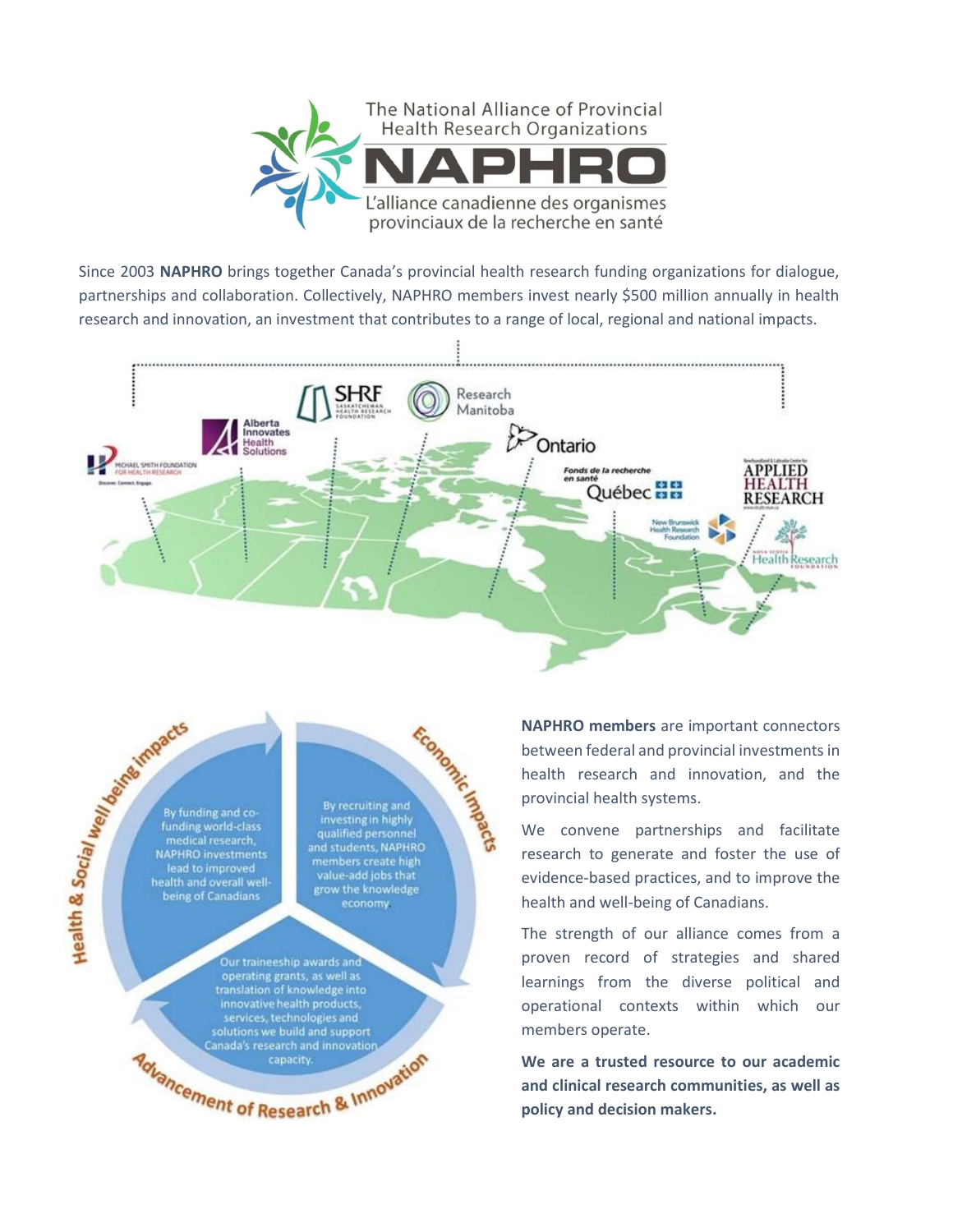

Since 2003 NAPHRO brings together Canada's provincial health research funding organizations for dialogue, partnerships and collaboration. Collectively, NAPHRO members invest nearly \$500 million annually in health research and innovation, an investment that contributes to a range of local, regional and national impacts.



Health & Social Meridian Reported that the MAPHRO By funding and cofunding world-class medical research, NAPHRO investments<br>lead to improved health and overall wellbeing of Canadians

Economic Magnetic By recruiting and<br>investing in highly qualified personnel and students, NAPHRO members create high value-add jobs that grow the knowledge economy

Our traineeship awards and operating grants, as well as<br>translation of knowledge into innovative health products, services, technologies and<br>solutions we build and support Canada's research and innovation Advancement of Research & Innovation NAPHRO members are important connectors between federal and provincial investments in health research and innovation, and the provincial health systems.

We convene partnerships and facilitate research to generate and foster the use of evidence-based practices, and to improve the health and well-being of Canadians.

The strength of our alliance comes from a proven record of strategies and shared learnings from the diverse political and operational contexts within which our members operate.

We are a trusted resource to our academic and clinical research communities, as well as policy and decision makers.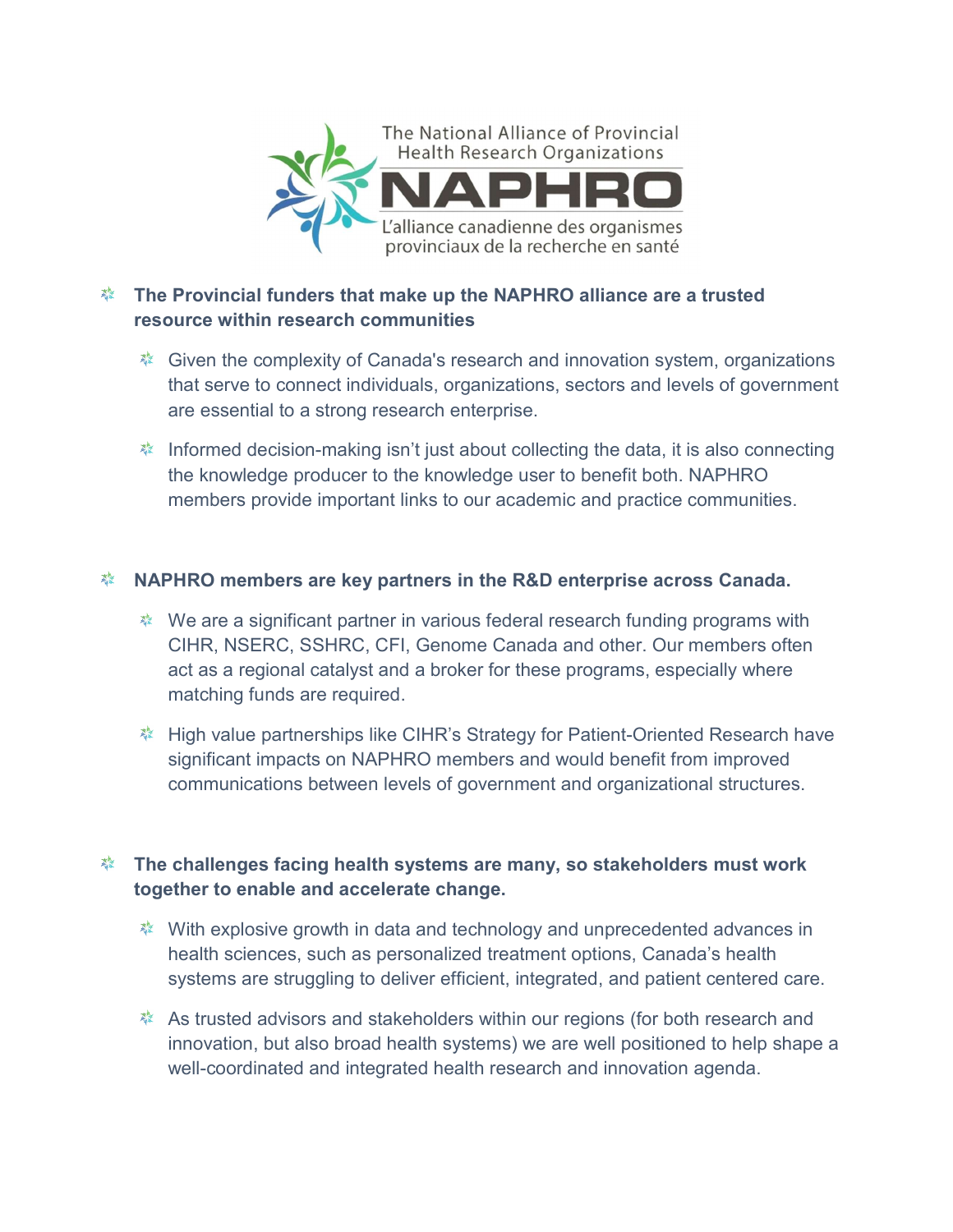

## **EXECT The Provincial funders that make up the NAPHRO alliance are a trusted** resource within research communities

- **※ Given the complexity of Canada's research and innovation system, organizations** that serve to connect individuals, organizations, sectors and levels of government are essential to a strong research enterprise.
- **※** Informed decision-making isn't just about collecting the data, it is also connecting the knowledge producer to the knowledge user to benefit both. NAPHRO members provide important links to our academic and practice communities.

## **※ NAPHRO members are key partners in the R&D enterprise across Canada.**

- We are a significant partner in various federal research funding programs with CIHR, NSERC, SSHRC, CFI, Genome Canada and other. Our members often act as a regional catalyst and a broker for these programs, especially where matching funds are required.
- **※ High value partnerships like CIHR's Strategy for Patient-Oriented Research have** significant impacts on NAPHRO members and would benefit from improved communications between levels of government and organizational structures.

## $\rm k$  The challenges facing health systems are many, so stakeholders must work together to enable and accelerate change.

- With explosive growth in data and technology and unprecedented advances in health sciences, such as personalized treatment options, Canada's health systems are struggling to deliver efficient, integrated, and patient centered care.
- As trusted advisors and stakeholders within our regions (for both research and innovation, but also broad health systems) we are well positioned to help shape a well-coordinated and integrated health research and innovation agenda.